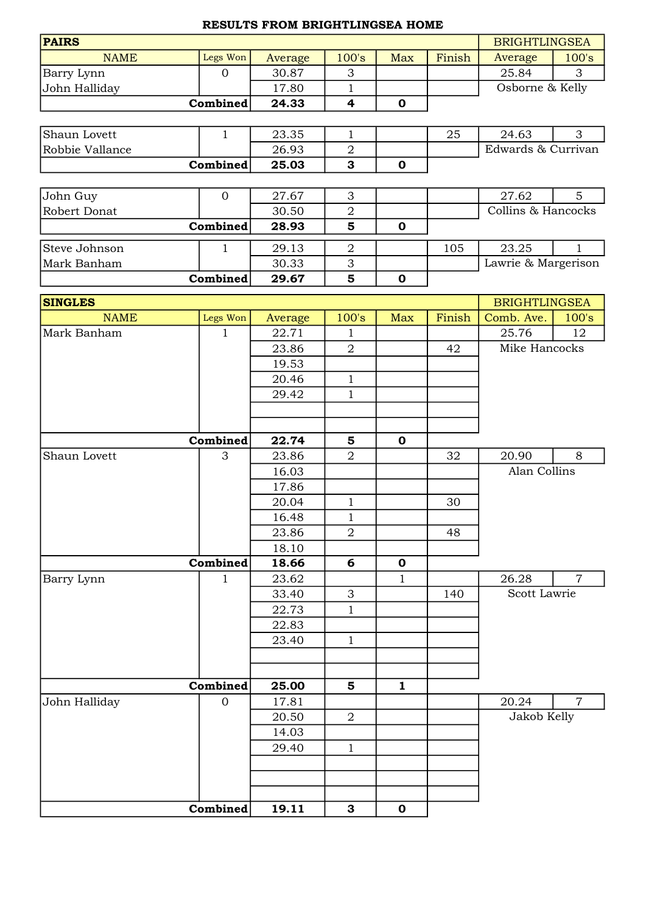## RESULTS FROM BRIGHTLINGSEA HOME

| <b>PAIRS</b>    |                |                |                         |              |                      | <b>BRIGHTLINGSEA</b> |                |
|-----------------|----------------|----------------|-------------------------|--------------|----------------------|----------------------|----------------|
| <b>NAME</b>     | Legs Won       | Average        | 100's                   | Max          | Finish               | Average              | 100's          |
| Barry Lynn      | $\overline{0}$ | 30.87          | 3                       |              |                      | 25.84                | 3              |
| John Halliday   |                | 17.80          | $\mathbf{1}$            |              |                      | Osborne & Kelly      |                |
|                 | Combined       | 24.33          | 4                       | $\mathbf 0$  |                      |                      |                |
|                 |                |                |                         |              |                      |                      |                |
| Shaun Lovett    | $\mathbf{1}$   | 23.35          | $\mathbf{1}$            |              | 25                   | 24.63                | 3              |
| Robbie Vallance |                | 26.93          | $\boldsymbol{2}$        |              |                      | Edwards & Currivan   |                |
|                 | Combined       | 25.03          | $\overline{\mathbf{3}}$ | $\mathbf 0$  |                      |                      |                |
|                 |                |                |                         |              |                      |                      |                |
| John Guy        | $\mathbf{0}$   | 27.67          | 3                       |              |                      | 27.62                | 5 <sup>5</sup> |
| Robert Donat    |                | 30.50          | $\overline{2}$          |              |                      | Collins & Hancocks   |                |
|                 | Combined       | 28.93          | 5                       | $\mathbf 0$  |                      |                      |                |
| Steve Johnson   | $\mathbf 1$    | 29.13          | $\overline{2}$          |              | 105                  | 23.25                | $\mathbf{1}$   |
| Mark Banham     |                | 30.33          | 3                       |              |                      | Lawrie & Margerison  |                |
|                 | Combined       | 29.67          | $\overline{5}$          | $\mathbf 0$  |                      |                      |                |
|                 |                |                |                         |              |                      |                      |                |
| <b>SINGLES</b>  |                |                |                         |              | <b>BRIGHTLINGSEA</b> |                      |                |
| <b>NAME</b>     | Legs Won       | Average        | 100's                   | Max          | Finish               | Comb. Ave.           | 100's          |
| Mark Banham     | $\mathbf{1}$   | 22.71          | $\mathbf{1}$            |              |                      | 25.76                | 12             |
|                 |                | 23.86          | $\overline{2}$          |              | 42                   | Mike Hancocks        |                |
|                 |                | 19.53          |                         |              |                      |                      |                |
|                 |                | 20.46          | $\mathbf{1}$            |              |                      |                      |                |
|                 |                | 29.42          | $\mathbf{1}$            |              |                      |                      |                |
|                 |                |                |                         |              |                      |                      |                |
|                 |                |                |                         |              |                      |                      |                |
|                 | Combined       | 22.74          | 5                       | $\mathbf 0$  |                      |                      |                |
| Shaun Lovett    | 3              | 23.86          | $\overline{2}$          |              | 32                   | 20.90                | 8              |
|                 |                | 16.03          |                         |              |                      | Alan Collins         |                |
|                 |                | 17.86          |                         |              |                      |                      |                |
|                 |                | 20.04          | $\mathbf{1}$            |              | 30                   |                      |                |
|                 |                | 16.48          | $1\,$                   |              |                      |                      |                |
|                 |                | 23.86          | $\overline{2}$          |              | 48                   |                      |                |
|                 | Combined       | 18.10          | 6                       | $\mathbf 0$  |                      |                      |                |
|                 | 1              | 18.66<br>23.62 |                         |              |                      | 26.28                | $\overline{7}$ |
| Barry Lynn      |                | 33.40          | 3                       | 1            | 140                  | Scott Lawrie         |                |
|                 |                | 22.73          | $\mathbf{1}$            |              |                      |                      |                |
|                 |                | 22.83          |                         |              |                      |                      |                |
|                 |                | 23.40          | $\mathbf{1}$            |              |                      |                      |                |
|                 |                |                |                         |              |                      |                      |                |
|                 |                |                |                         |              |                      |                      |                |
|                 | Combined       | 25.00          | 5                       | $\mathbf{1}$ |                      |                      |                |
| John Halliday   | $\mathbf{0}$   | 17.81          |                         |              |                      | 20.24                | $\overline{7}$ |
|                 |                | 20.50          | $\overline{2}$          |              |                      | Jakob Kelly          |                |
|                 |                | 14.03          |                         |              |                      |                      |                |
|                 |                | 29.40          | $\mathbf{1}$            |              |                      |                      |                |
|                 |                |                |                         |              |                      |                      |                |
|                 |                |                |                         |              |                      |                      |                |
|                 |                |                |                         |              |                      |                      |                |
|                 | Combined       | 19.11          | 3                       | $\mathbf 0$  |                      |                      |                |